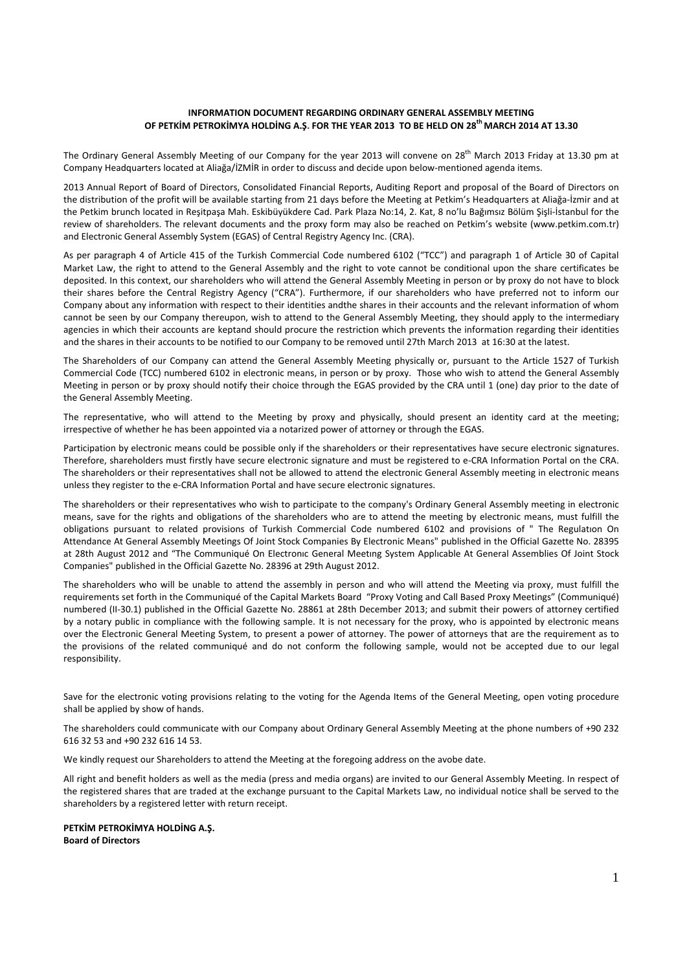# **INFORMATION DOCUMENT REGARDING ORDINARY GENERAL ASSEMBLY MEETING OF PETKİM PETROKİMYA HOLDİNG A.Ş. FOR THE YEAR 2013 TO BE HELD ON 28th MARCH 2014 AT 13.30**

The Ordinary General Assembly Meeting of our Company for the year 2013 will convene on 28<sup>th</sup> March 2013 Friday at 13.30 pm at Company Headquarters located at Aliağa/İZMİR in order to discuss and decide upon below-mentioned agenda items.

2013 Annual Report of Board of Directors, Consolidated Financial Reports, Auditing Report and proposal of the Board of Directors on the distribution of the profit will be available starting from 21 days before the Meeting at Petkim's Headquarters at Aliağa-İzmir and at the Petkim brunch located in Reşitpaşa Mah. Eskibüyükdere Cad. Park Plaza No:14, 2. Kat, 8 no'lu Bağımsız Bölüm Şişli-İstanbul for the review of shareholders. The relevant documents and the proxy form may also be reached on Petkim's website (www.petkim.com.tr) and Electronic General Assembly System (EGAS) of Central Registry Agency Inc. (CRA).

As per paragraph 4 of Article 415 of the Turkish Commercial Code numbered 6102 ("TCC") and paragraph 1 of Article 30 of Capital Market Law, the right to attend to the General Assembly and the right to vote cannot be conditional upon the share certificates be deposited. In this context, our shareholders who will attend the General Assembly Meeting in person or by proxy do not have to block their shares before the Central Registry Agency ("CRA"). Furthermore, if our shareholders who have preferred not to inform our Company about any information with respect to their identities andthe shares in their accounts and the relevant information of whom cannot be seen by our Company thereupon, wish to attend to the General Assembly Meeting, they should apply to the intermediary agencies in which their accounts are keptand should procure the restriction which prevents the information regarding their identities and the shares in their accounts to be notified to our Company to be removed until 27th March 2013 at 16:30 at the latest.

The Shareholders of our Company can attend the General Assembly Meeting physically or, pursuant to the Article 1527 of Turkish Commercial Code (TCC) numbered 6102 in electronic means, in person or by proxy. Those who wish to attend the General Assembly Meeting in person or by proxy should notify their choice through the EGAS provided by the CRA until 1 (one) day prior to the date of the General Assembly Meeting.

The representative, who will attend to the Meeting by proxy and physically, should present an identity card at the meeting; irrespective of whether he has been appointed via a notarized power of attorney or through the EGAS.

Participation by electronic means could be possible only if the shareholders or their representatives have secure electronic signatures. Therefore, shareholders must firstly have secure electronic signature and must be registered to e-CRA Information Portal on the CRA. The shareholders or their representatives shall not be allowed to attend the electronic General Assembly meeting in electronic means unless they register to the e-CRA Information Portal and have secure electronic signatures.

The shareholders or their representatives who wish to participate to the company's Ordinary General Assembly meeting in electronic means, save for the rights and obligations of the shareholders who are to attend the meeting by electronic means, must fulfill the obligations pursuant to related provisions of Turkish Commercial Code numbered 6102 and provisions of " The Regulatıon On Attendance At General Assembly Meetings Of Joint Stock Companies By Electronic Means" published in the Official Gazette No. 28395 at 28th August 2012 and "The Communiqué On Electronıc General Meetıng System Applıcable At General Assemblies Of Joint Stock Companies" published in the Official Gazette No. 28396 at 29th August 2012.

The shareholders who will be unable to attend the assembly in person and who will attend the Meeting via proxy, must fulfill the requirements set forth in the Communiqué of the Capital Markets Board "Proxy Voting and Call Based Proxy Meetings" (Communiqué) numbered (II-30.1) published in the Official Gazette No. 28861 at 28th December 2013; and submit their powers of attorney certified by a notary public in compliance with the following sample. It is not necessary for the proxy, who is appointed by electronic means over the Electronic General Meeting System, to present a power of attorney. The power of attorneys that are the requirement as to the provisions of the related communiqué and do not conform the following sample, would not be accepted due to our legal responsibility.

Save for the electronic voting provisions relating to the voting for the Agenda Items of the General Meeting, open voting procedure shall be applied by show of hands.

The shareholders could communicate with our Company about Ordinary General Assembly Meeting at the phone numbers of +90 232 616 32 53 and +90 232 616 14 53.

We kindly request our Shareholders to attend the Meeting at the foregoing address on the avobe date.

All right and benefit holders as well as the media (press and media organs) are invited to our General Assembly Meeting. In respect of the registered shares that are traded at the exchange pursuant to the Capital Markets Law, no individual notice shall be served to the shareholders by a registered letter with return receipt.

### **PETKİM PETROKİMYA HOLDİNG A.Ş. Board of Directors**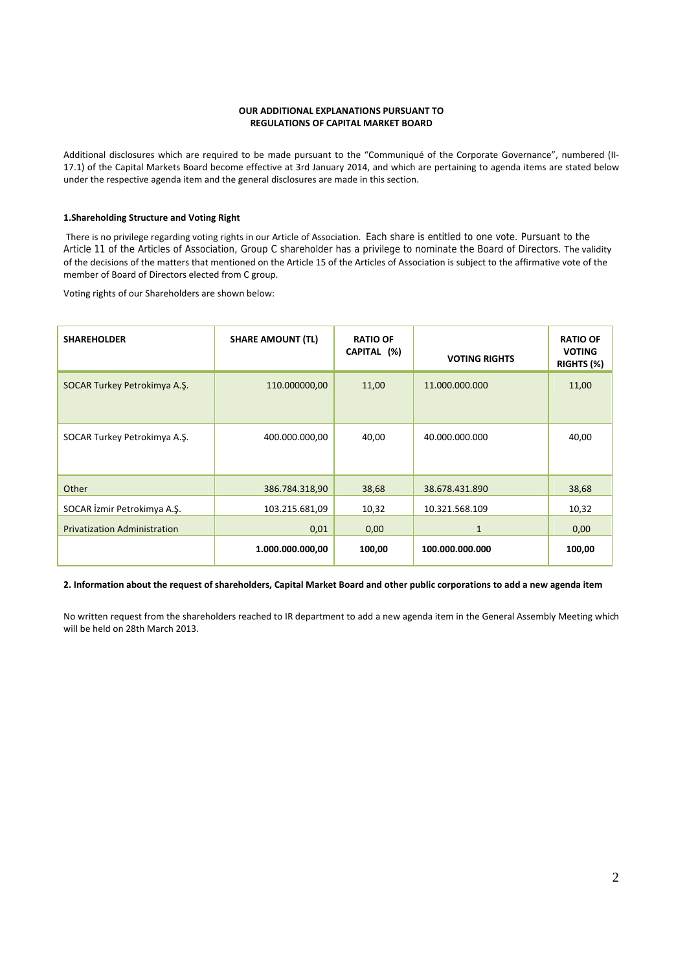# **OUR ADDITIONAL EXPLANATIONS PURSUANT TO REGULATIONS OF CAPITAL MARKET BOARD**

Additional disclosures which are required to be made pursuant to the "Communiqué of the Corporate Governance", numbered (II-17.1) of the Capital Markets Board become effective at 3rd January 2014, and which are pertaining to agenda items are stated below under the respective agenda item and the general disclosures are made in this section.

# **1.Shareholding Structure and Voting Right**

 There is no privilege regarding voting rights in our Article of Association. Each share is entitled to one vote. Pursuant to the Article 11 of the Articles of Association, Group C shareholder has a privilege to nominate the Board of Directors. The validity of the decisions of the matters that mentioned on the Article 15 of the Articles of Association is subject to the affirmative vote of the member of Board of Directors elected from C group.

Voting rights of our Shareholders are shown below:

| <b>SHAREHOLDER</b>                  | <b>SHARE AMOUNT (TL)</b> | <b>RATIO OF</b><br>CAPITAL (%) | <b>VOTING RIGHTS</b> | <b>RATIO OF</b><br><b>VOTING</b><br>RIGHTS (%) |
|-------------------------------------|--------------------------|--------------------------------|----------------------|------------------------------------------------|
| SOCAR Turkey Petrokimya A.Ş.        | 110.000000,00            | 11,00                          | 11.000.000.000       | 11,00                                          |
| SOCAR Turkey Petrokimya A.Ş.        | 400.000.000,00           | 40,00                          | 40.000.000.000       | 40,00                                          |
| Other                               | 386.784.318,90           | 38,68                          | 38.678.431.890       | 38,68                                          |
| SOCAR İzmir Petrokimya A.Ş.         | 103.215.681,09           | 10,32                          | 10.321.568.109       | 10,32                                          |
| <b>Privatization Administration</b> | 0,01                     | 0,00                           | $\mathbf{1}$         | 0,00                                           |
|                                     | 1.000.000.000,00         | 100,00                         | 100.000.000.000      | 100,00                                         |

# **2. Information about the request of shareholders, Capital Market Board and other public corporations to add a new agenda item**

No written request from the shareholders reached to IR department to add a new agenda item in the General Assembly Meeting which will be held on 28th March 2013.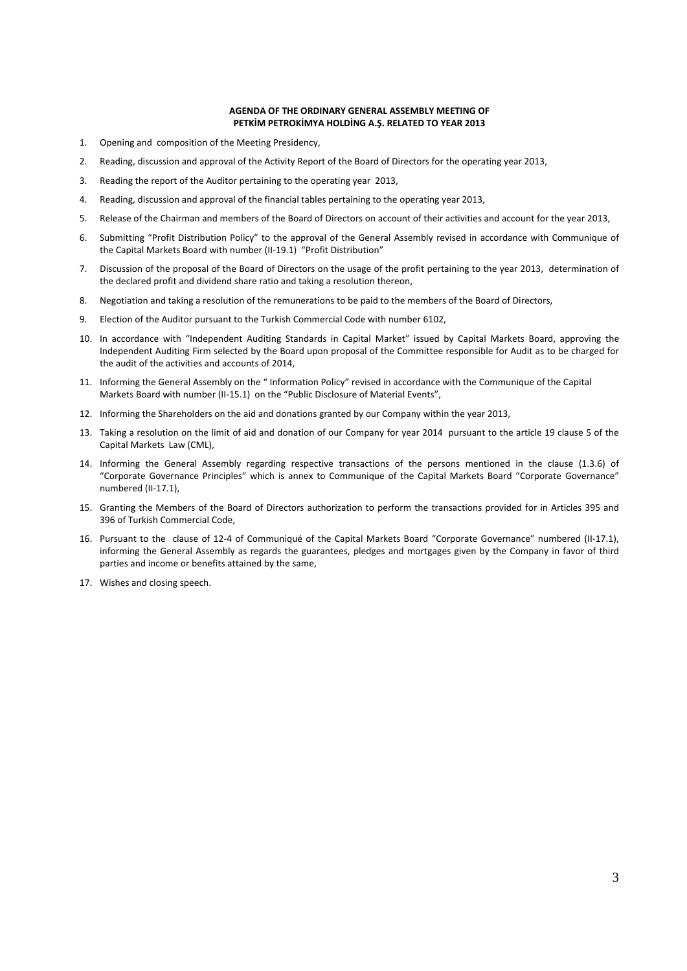# **AGENDA OF THE ORDINARY GENERAL ASSEMBLY MEETING OF PETKİM PETROKİMYA HOLDİNG A.Ş. RELATED TO YEAR 2013**

- 1. Opening and composition of the Meeting Presidency,
- 2. Reading, discussion and approval of the Activity Report of the Board of Directors for the operating year 2013,
- 3. Reading the report of the Auditor pertaining to the operating year 2013,
- 4. Reading, discussion and approval of the financial tables pertaining to the operating year 2013,
- 5. Release of the Chairman and members of the Board of Directors on account of their activities and account for the year 2013,
- 6. Submitting "Profit Distribution Policy" to the approval of the General Assembly revised in accordance with Communique of the Capital Markets Board with number (II-19.1) "Profit Distribution"
- 7. Discussion of the proposal of the Board of Directors on the usage of the profit pertaining to the year 2013, determination of the declared profit and dividend share ratio and taking a resolution thereon,
- 8. Negotiation and taking a resolution of the remunerations to be paid to the members of the Board of Directors,
- 9. Election of the Auditor pursuant to the Turkish Commercial Code with number 6102,
- 10. In accordance with "Independent Auditing Standards in Capital Market" issued by Capital Markets Board, approving the Independent Auditing Firm selected by the Board upon proposal of the Committee responsible for Audit as to be charged for the audit of the activities and accounts of 2014,
- 11. Informing the General Assembly on the " Information Policy" revised in accordance with the Communique of the Capital Markets Board with number (II-15.1) on the "Public Disclosure of Material Events",
- 12. Informing the Shareholders on the aid and donations granted by our Company within the year 2013,
- 13. Taking a resolution on the limit of aid and donation of our Company for year 2014 pursuant to the article 19 clause 5 of the Capital Markets Law (CML),
- 14. Informing the General Assembly regarding respective transactions of the persons mentioned in the clause (1.3.6) of "Corporate Governance Principles" which is annex to Communique of the Capital Markets Board "Corporate Governance" numbered (II-17.1),
- 15. Granting the Members of the Board of Directors authorization to perform the transactions provided for in Articles 395 and 396 of Turkish Commercial Code,
- 16. Pursuant to the clause of 12-4 of Communiqué of the Capital Markets Board "Corporate Governance" numbered (II-17.1), informing the General Assembly as regards the guarantees, pledges and mortgages given by the Company in favor of third parties and income or benefits attained by the same,
- 17. Wishes and closing speech.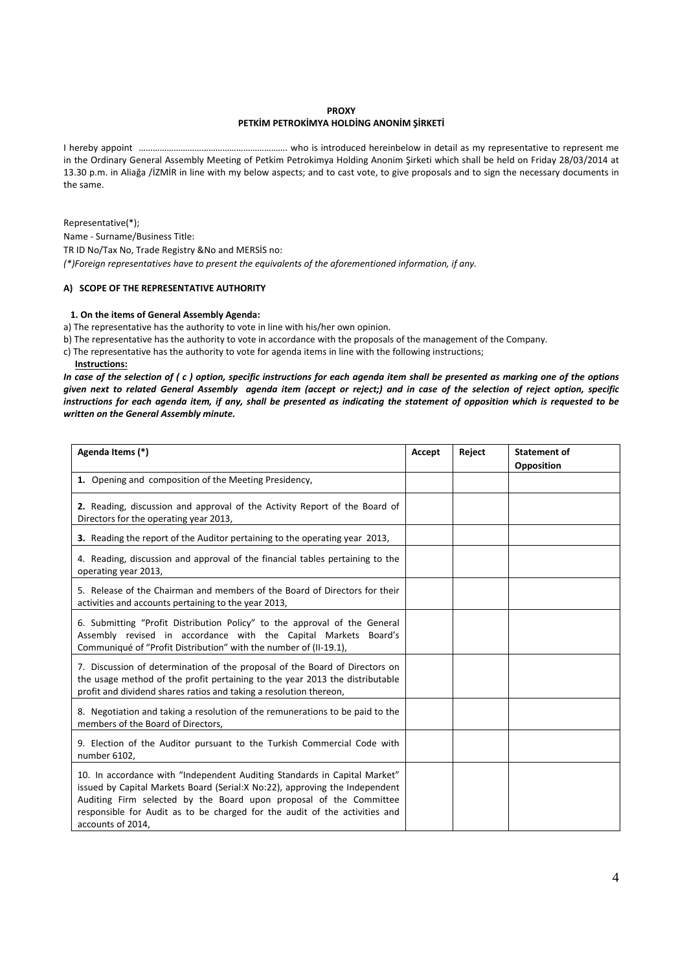### **PROXY**

## **PETKİM PETROKİMYA HOLDİNG ANONİM ŞİRKETİ**

I hereby appoint ………………………………………………………. who is introduced hereinbelow in detail as my representative to represent me in the Ordinary General Assembly Meeting of Petkim Petrokimya Holding Anonim Şirketi which shall be held on Friday 28/03/2014 at 13.30 p.m. in Aliağa /İZMİR in line with my below aspects; and to cast vote, to give proposals and to sign the necessary documents in the same.

Representative(\*); Name - Surname/Business Title: TR ID No/Tax No, Trade Registry &No and MERSİS no: *(\*)Foreign representatives have to present the equivalents of the aforementioned information, if any.* 

### **A) SCOPE OF THE REPRESENTATIVE AUTHORITY**

### **1. On the items of General Assembly Agenda:**

a) The representative has the authority to vote in line with his/her own opinion.

b) The representative has the authority to vote in accordance with the proposals of the management of the Company.

- c) The representative has the authority to vote for agenda items in line with the following instructions;
- **Instructions:**

*In case of the selection of ( c ) option, specific instructions for each agenda item shall be presented as marking one of the options given next to related General Assembly agenda item (accept or reject;) and in case of the selection of reject option, specific instructions for each agenda item, if any, shall be presented as indicating the statement of opposition which is requested to be written on the General Assembly minute.* 

| Agenda Items (*)                                                                                                                                                                                                                                                                                                                    |  | Reject | <b>Statement of</b><br>Opposition |
|-------------------------------------------------------------------------------------------------------------------------------------------------------------------------------------------------------------------------------------------------------------------------------------------------------------------------------------|--|--------|-----------------------------------|
| 1. Opening and composition of the Meeting Presidency,                                                                                                                                                                                                                                                                               |  |        |                                   |
| 2. Reading, discussion and approval of the Activity Report of the Board of<br>Directors for the operating year 2013,                                                                                                                                                                                                                |  |        |                                   |
| 3. Reading the report of the Auditor pertaining to the operating year 2013,                                                                                                                                                                                                                                                         |  |        |                                   |
| 4. Reading, discussion and approval of the financial tables pertaining to the<br>operating year 2013,                                                                                                                                                                                                                               |  |        |                                   |
| 5. Release of the Chairman and members of the Board of Directors for their<br>activities and accounts pertaining to the year 2013,                                                                                                                                                                                                  |  |        |                                   |
| 6. Submitting "Profit Distribution Policy" to the approval of the General<br>Assembly revised in accordance with the Capital Markets Board's<br>Communiqué of "Profit Distribution" with the number of (II-19.1),                                                                                                                   |  |        |                                   |
| 7. Discussion of determination of the proposal of the Board of Directors on<br>the usage method of the profit pertaining to the year 2013 the distributable<br>profit and dividend shares ratios and taking a resolution thereon,                                                                                                   |  |        |                                   |
| 8. Negotiation and taking a resolution of the remunerations to be paid to the<br>members of the Board of Directors,                                                                                                                                                                                                                 |  |        |                                   |
| 9. Election of the Auditor pursuant to the Turkish Commercial Code with<br>number 6102,                                                                                                                                                                                                                                             |  |        |                                   |
| 10. In accordance with "Independent Auditing Standards in Capital Market"<br>issued by Capital Markets Board (Serial: X No: 22), approving the Independent<br>Auditing Firm selected by the Board upon proposal of the Committee<br>responsible for Audit as to be charged for the audit of the activities and<br>accounts of 2014, |  |        |                                   |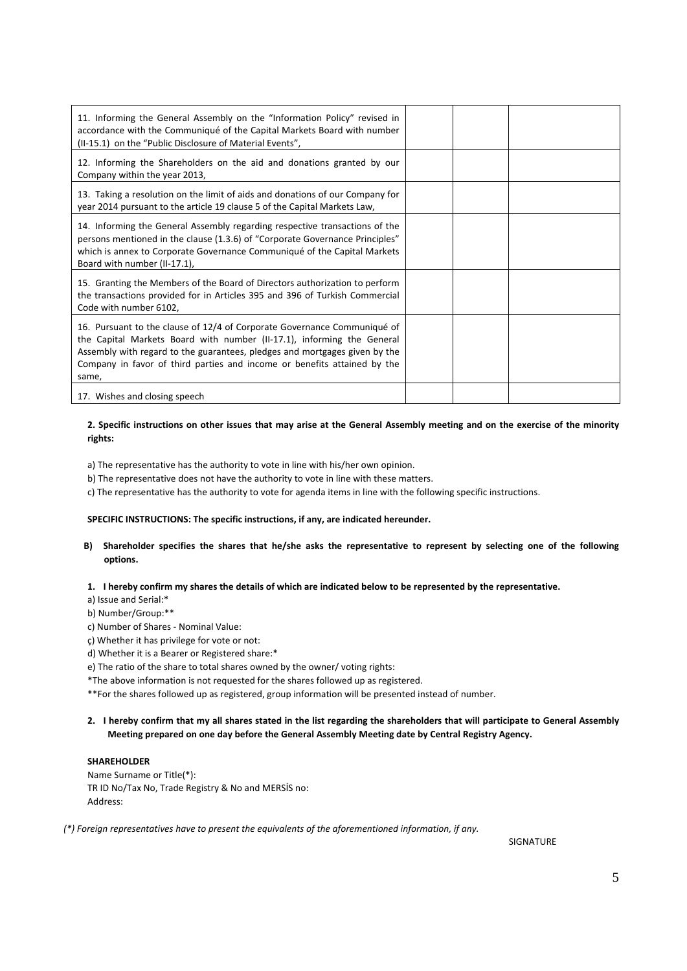| 11. Informing the General Assembly on the "Information Policy" revised in<br>accordance with the Communiqué of the Capital Markets Board with number<br>(II-15.1) on the "Public Disclosure of Material Events",                                                                                                      |  |
|-----------------------------------------------------------------------------------------------------------------------------------------------------------------------------------------------------------------------------------------------------------------------------------------------------------------------|--|
| 12. Informing the Shareholders on the aid and donations granted by our<br>Company within the year 2013,                                                                                                                                                                                                               |  |
| 13. Taking a resolution on the limit of aids and donations of our Company for<br>year 2014 pursuant to the article 19 clause 5 of the Capital Markets Law,                                                                                                                                                            |  |
| 14. Informing the General Assembly regarding respective transactions of the<br>persons mentioned in the clause (1.3.6) of "Corporate Governance Principles"<br>which is annex to Corporate Governance Communiqué of the Capital Markets<br>Board with number (II-17.1),                                               |  |
| 15. Granting the Members of the Board of Directors authorization to perform<br>the transactions provided for in Articles 395 and 396 of Turkish Commercial<br>Code with number 6102,                                                                                                                                  |  |
| 16. Pursuant to the clause of 12/4 of Corporate Governance Communiqué of<br>the Capital Markets Board with number (II-17.1), informing the General<br>Assembly with regard to the guarantees, pledges and mortgages given by the<br>Company in favor of third parties and income or benefits attained by the<br>same, |  |
| 17. Wishes and closing speech                                                                                                                                                                                                                                                                                         |  |

# **2. Specific instructions on other issues that may arise at the General Assembly meeting and on the exercise of the minority rights:**

a) The representative has the authority to vote in line with his/her own opinion.

b) The representative does not have the authority to vote in line with these matters.

c) The representative has the authority to vote for agenda items in line with the following specific instructions.

### **SPECIFIC INSTRUCTIONS: The specific instructions, if any, are indicated hereunder.**

**B) Shareholder specifies the shares that he/she asks the representative to represent by selecting one of the following options.** 

# **1. I hereby confirm my shares the details of which are indicated below to be represented by the representative.**

a) Issue and Serial:\*

b) Number/Group:\*\*

- c) Number of Shares Nominal Value:
- ç) Whether it has privilege for vote or not:
- d) Whether it is a Bearer or Registered share:\*

e) The ratio of the share to total shares owned by the owner/ voting rights:

\*The above information is not requested for the shares followed up as registered.

\*\*For the shares followed up as registered, group information will be presented instead of number.

### **2. I hereby confirm that my all shares stated in the list regarding the shareholders that will participate to General Assembly Meeting prepared on one day before the General Assembly Meeting date by Central Registry Agency.**

# **SHAREHOLDER**

Name Surname or Title(\*): TR ID No/Tax No, Trade Registry & No and MERSİS no: Address:

*(\*) Foreign representatives have to present the equivalents of the aforementioned information, if any.* 

SIGNATURE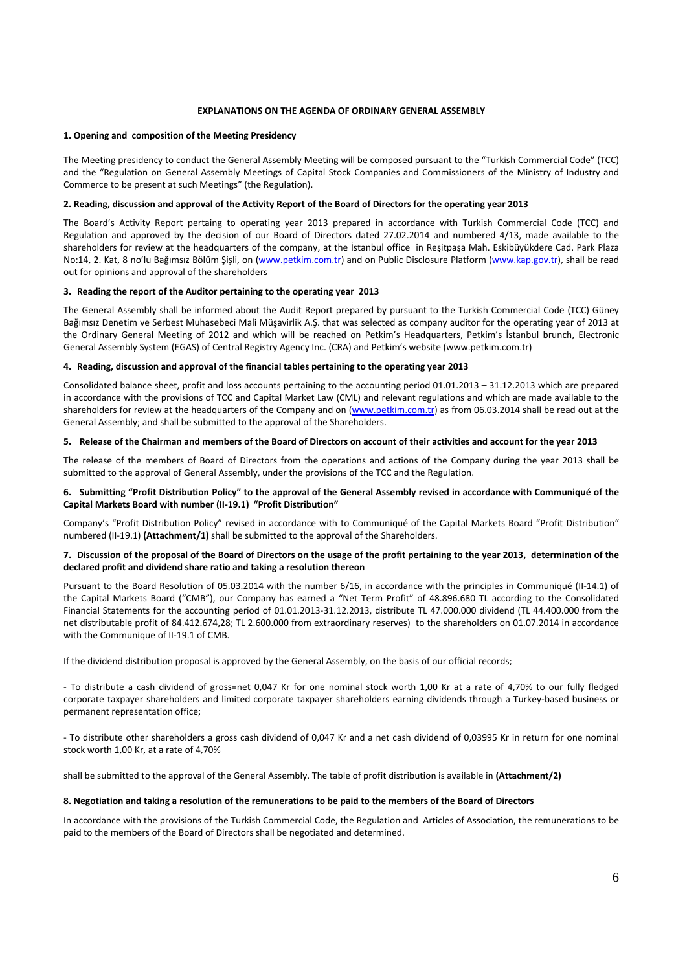### **EXPLANATIONS ON THE AGENDA OF ORDINARY GENERAL ASSEMBLY**

#### **1. Opening and composition of the Meeting Presidency**

The Meeting presidency to conduct the General Assembly Meeting will be composed pursuant to the "Turkish Commercial Code" (TCC) and the "Regulation on General Assembly Meetings of Capital Stock Companies and Commissioners of the Ministry of Industry and Commerce to be present at such Meetings" (the Regulation).

#### **2. Reading, discussion and approval of the Activity Report of the Board of Directors for the operating year 2013**

The Board's Activity Report pertaing to operating year 2013 prepared in accordance with Turkish Commercial Code (TCC) and Regulation and approved by the decision of our Board of Directors dated 27.02.2014 and numbered 4/13, made available to the shareholders for review at the headquarters of the company, at the İstanbul office in Reşitpaşa Mah. Eskibüyükdere Cad. Park Plaza No:14, 2. Kat, 8 no'lu Bağımsız Bölüm Şişli, on (www.petkim.com.tr) and on Public Disclosure Platform (www.kap.gov.tr), shall be read out for opinions and approval of the shareholders

#### **3. Reading the report of the Auditor pertaining to the operating year 2013**

The General Assembly shall be informed about the Audit Report prepared by pursuant to the Turkish Commercial Code (TCC) Güney Bağımsız Denetim ve Serbest Muhasebeci Mali Müşavirlik A.Ş. that was selected as company auditor for the operating year of 2013 at the Ordinary General Meeting of 2012 and which will be reached on Petkim's Headquarters, Petkim's İstanbul brunch, Electronic General Assembly System (EGAS) of Central Registry Agency Inc. (CRA) and Petkim's website (www.petkim.com.tr)

#### **4. Reading, discussion and approval of the financial tables pertaining to the operating year 2013**

Consolidated balance sheet, profit and loss accounts pertaining to the accounting period 01.01.2013 – 31.12.2013 which are prepared in accordance with the provisions of TCC and Capital Market Law (CML) and relevant regulations and which are made available to the shareholders for review at the headquarters of the Company and on (www.petkim.com.tr) as from 06.03.2014 shall be read out at the General Assembly; and shall be submitted to the approval of the Shareholders.

### **5. Release of the Chairman and members of the Board of Directors on account of their activities and account for the year 2013**

The release of the members of Board of Directors from the operations and actions of the Company during the year 2013 shall be submitted to the approval of General Assembly, under the provisions of the TCC and the Regulation.

### **6. Submitting "Profit Distribution Policy" to the approval of the General Assembly revised in accordance with Communiqué of the Capital Markets Board with number (II-19.1) "Profit Distribution"**

Company's "Profit Distribution Policy" revised in accordance with to Communiqué of the Capital Markets Board "Profit Distribution" numbered (II-19.1) **(Attachment/1)** shall be submitted to the approval of the Shareholders.

### **7. Discussion of the proposal of the Board of Directors on the usage of the profit pertaining to the year 2013, determination of the declared profit and dividend share ratio and taking a resolution thereon**

Pursuant to the Board Resolution of 05.03.2014 with the number 6/16, in accordance with the principles in Communiqué (II-14.1) of the Capital Markets Board ("CMB"), our Company has earned a "Net Term Profit" of 48.896.680 TL according to the Consolidated Financial Statements for the accounting period of 01.01.2013-31.12.2013, distribute TL 47.000.000 dividend (TL 44.400.000 from the net distributable profit of 84.412.674,28; TL 2.600.000 from extraordinary reserves) to the shareholders on 01.07.2014 in accordance with the Communique of II-19.1 of CMB.

If the dividend distribution proposal is approved by the General Assembly, on the basis of our official records;

- To distribute a cash dividend of gross=net 0,047 Kr for one nominal stock worth 1,00 Kr at a rate of 4,70% to our fully fledged corporate taxpayer shareholders and limited corporate taxpayer shareholders earning dividends through a Turkey-based business or permanent representation office;

- To distribute other shareholders a gross cash dividend of 0,047 Kr and a net cash dividend of 0,03995 Kr in return for one nominal stock worth 1,00 Kr, at a rate of 4,70%

shall be submitted to the approval of the General Assembly. The table of profit distribution is available in **(Attachment/2)**

### **8. Negotiation and taking a resolution of the remunerations to be paid to the members of the Board of Directors**

In accordance with the provisions of the Turkish Commercial Code, the Regulation and Articles of Association, the remunerations to be paid to the members of the Board of Directors shall be negotiated and determined.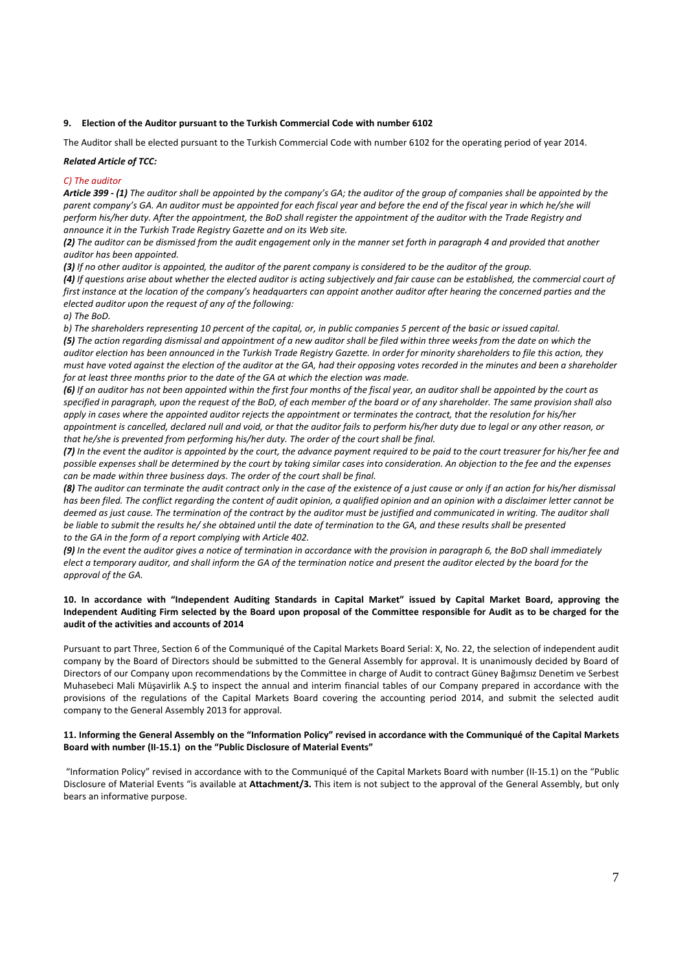### **9. Election of the Auditor pursuant to the Turkish Commercial Code with number 6102**

The Auditor shall be elected pursuant to the Turkish Commercial Code with number 6102 for the operating period of year 2014.

# *Related Article of TCC:*

### *C) The auditor*

*Article 399 - (1) The auditor shall be appointed by the company's GA; the auditor of the group of companies shall be appointed by the parent company's GA. An auditor must be appointed for each fiscal year and before the end of the fiscal year in which he/she will perform his/her duty. After the appointment, the BoD shall register the appointment of the auditor with the Trade Registry and announce it in the Turkish Trade Registry Gazette and on its Web site.* 

*(2) The auditor can be dismissed from the audit engagement only in the manner set forth in paragraph 4 and provided that another auditor has been appointed.* 

*(3) If no other auditor is appointed, the auditor of the parent company is considered to be the auditor of the group.* 

*(4) If questions arise about whether the elected auditor is acting subjectively and fair cause can be established, the commercial court of first instance at the location of the company's headquarters can appoint another auditor after hearing the concerned parties and the elected auditor upon the request of any of the following:* 

*a) The BoD.* 

*b) The shareholders representing 10 percent of the capital, or, in public companies 5 percent of the basic or issued capital. (5) The action regarding dismissal and appointment of a new auditor shall be filed within three weeks from the date on which the auditor election has been announced in the Turkish Trade Registry Gazette. In order for minority shareholders to file this action, they must have voted against the election of the auditor at the GA, had their opposing votes recorded in the minutes and been a shareholder for at least three months prior to the date of the GA at which the election was made.* 

*(6) If an auditor has not been appointed within the first four months of the fiscal year, an auditor shall be appointed by the court as specified in paragraph, upon the request of the BoD, of each member of the board or of any shareholder. The same provision shall also apply in cases where the appointed auditor rejects the appointment or terminates the contract, that the resolution for his/her appointment is cancelled, declared null and void, or that the auditor fails to perform his/her duty due to legal or any other reason, or that he/she is prevented from performing his/her duty. The order of the court shall be final.* 

*(7) In the event the auditor is appointed by the court, the advance payment required to be paid to the court treasurer for his/her fee and possible expenses shall be determined by the court by taking similar cases into consideration. An objection to the fee and the expenses can be made within three business days. The order of the court shall be final.* 

*(8) The auditor can terminate the audit contract only in the case of the existence of a just cause or only if an action for his/her dismissal has been filed. The conflict regarding the content of audit opinion, a qualified opinion and an opinion with a disclaimer letter cannot be deemed as just cause. The termination of the contract by the auditor must be justified and communicated in writing. The auditor shall be liable to submit the results he/ she obtained until the date of termination to the GA, and these results shall be presented to the GA in the form of a report complying with Article 402.* 

*(9) In the event the auditor gives a notice of termination in accordance with the provision in paragraph 6, the BoD shall immediately elect a temporary auditor, and shall inform the GA of the termination notice and present the auditor elected by the board for the approval of the GA.* 

# **10. In accordance with "Independent Auditing Standards in Capital Market" issued by Capital Market Board, approving the Independent Auditing Firm selected by the Board upon proposal of the Committee responsible for Audit as to be charged for the audit of the activities and accounts of 2014**

Pursuant to part Three, Section 6 of the Communiqué of the Capital Markets Board Serial: X, No. 22, the selection of independent audit company by the Board of Directors should be submitted to the General Assembly for approval. It is unanimously decided by Board of Directors of our Company upon recommendations by the Committee in charge of Audit to contract Güney Bağımsız Denetim ve Serbest Muhasebeci Mali Müşavirlik A.Ş to inspect the annual and interim financial tables of our Company prepared in accordance with the provisions of the regulations of the Capital Markets Board covering the accounting period 2014, and submit the selected audit company to the General Assembly 2013 for approval.

### **11. Informing the General Assembly on the "Information Policy" revised in accordance with the Communiqué of the Capital Markets Board with number (II-15.1) on the "Public Disclosure of Material Events"**

 "Information Policy" revised in accordance with to the Communiqué of the Capital Markets Board with number (II-15.1) on the "Public Disclosure of Material Events "is available at **Attachment/3.** This item is not subject to the approval of the General Assembly, but only bears an informative purpose.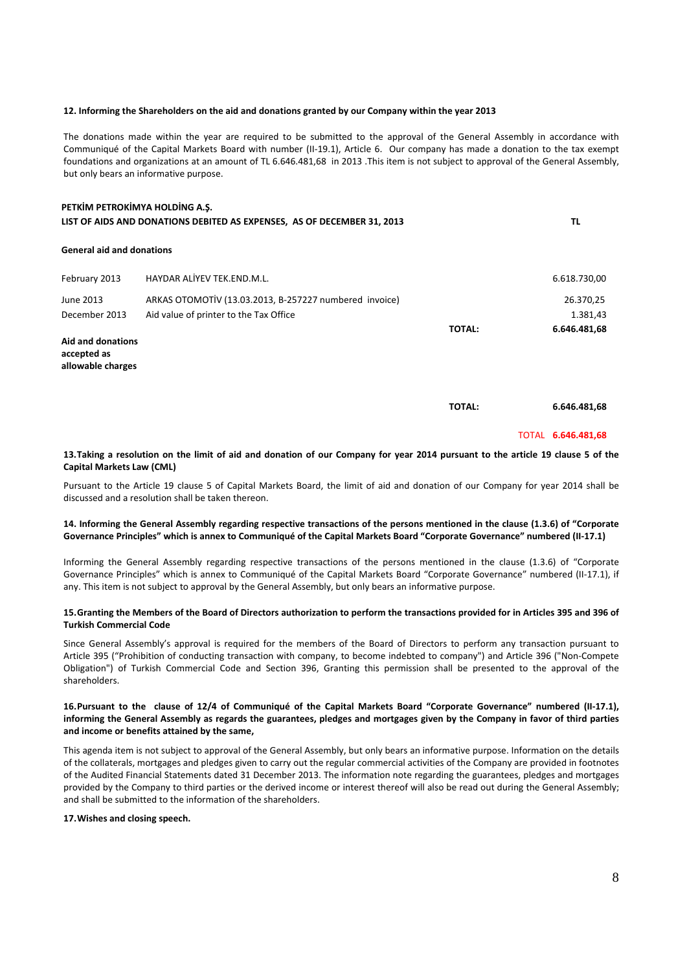#### **12. Informing the Shareholders on the aid and donations granted by our Company within the year 2013**

The donations made within the year are required to be submitted to the approval of the General Assembly in accordance with Communiqué of the Capital Markets Board with number (II-19.1), Article 6. Our company has made a donation to the tax exempt foundations and organizations at an amount of TL 6.646.481,68 in 2013 .This item is not subject to approval of the General Assembly, but only bears an informative purpose.

| PETKIM PETROKIMYA HOLDING A.S.<br>LIST OF AIDS AND DONATIONS DEBITED AS EXPENSES, AS OF DECEMBER 31, 2013 |                                                        |               | ΤL           |  |
|-----------------------------------------------------------------------------------------------------------|--------------------------------------------------------|---------------|--------------|--|
| <b>General aid and donations</b>                                                                          |                                                        |               |              |  |
| February 2013                                                                                             | HAYDAR ALIYEV TEK.END.M.L.                             |               | 6.618.730,00 |  |
| June 2013                                                                                                 | ARKAS OTOMOTİV (13.03.2013, B-257227 numbered invoice) |               | 26.370,25    |  |
| December 2013                                                                                             | Aid value of printer to the Tax Office                 |               | 1.381,43     |  |
|                                                                                                           |                                                        | <b>TOTAL:</b> | 6.646.481,68 |  |
| Aid and donations<br>accepted as<br>allowable charges                                                     |                                                        |               |              |  |

**TOTAL: 6.646.481,68**

#### TOTAL **6.646.481,68**

### **13. Taking a resolution on the limit of aid and donation of our Company for year 2014 pursuant to the article 19 clause 5 of the Capital Markets Law (CML)**

Pursuant to the Article 19 clause 5 of Capital Markets Board, the limit of aid and donation of our Company for year 2014 shall be discussed and a resolution shall be taken thereon.

# **14. Informing the General Assembly regarding respective transactions of the persons mentioned in the clause (1.3.6) of "Corporate Governance Principles" which is annex to Communiqué of the Capital Markets Board "Corporate Governance" numbered (II-17.1)**

Informing the General Assembly regarding respective transactions of the persons mentioned in the clause (1.3.6) of "Corporate Governance Principles" which is annex to Communiqué of the Capital Markets Board "Corporate Governance" numbered (II-17.1), if any. This item is not subject to approval by the General Assembly, but only bears an informative purpose.

# **15. Granting the Members of the Board of Directors authorization to perform the transactions provided for in Articles 395 and 396 of Turkish Commercial Code**

Since General Assembly's approval is required for the members of the Board of Directors to perform any transaction pursuant to Article 395 ("Prohibition of conducting transaction with company, to become indebted to company") and Article 396 ("Non-Compete Obligation") of Turkish Commercial Code and Section 396, Granting this permission shall be presented to the approval of the shareholders.

# **16. Pursuant to the clause of 12/4 of Communiqué of the Capital Markets Board "Corporate Governance" numbered (II-17.1), informing the General Assembly as regards the guarantees, pledges and mortgages given by the Company in favor of third parties and income or benefits attained by the same,**

This agenda item is not subject to approval of the General Assembly, but only bears an informative purpose. Information on the details of the collaterals, mortgages and pledges given to carry out the regular commercial activities of the Company are provided in footnotes of the Audited Financial Statements dated 31 December 2013. The information note regarding the guarantees, pledges and mortgages provided by the Company to third parties or the derived income or interest thereof will also be read out during the General Assembly; and shall be submitted to the information of the shareholders.

### **17. Wishes and closing speech.**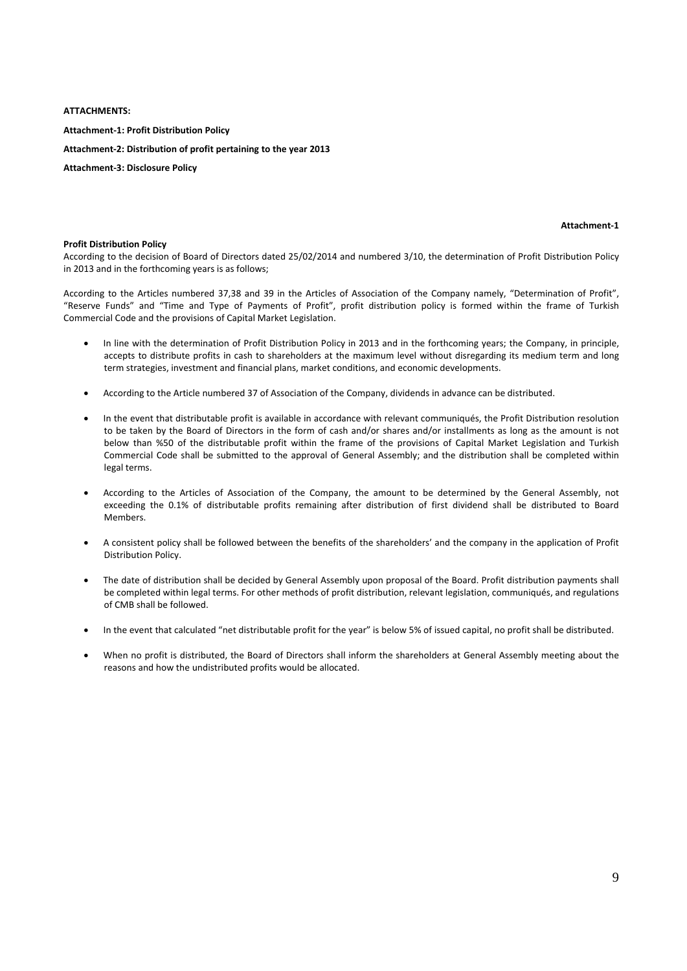### **ATTACHMENTS:**

**Attachment-1: Profit Distribution Policy Attachment-2: Distribution of profit pertaining to the year 2013 Attachment-3: Disclosure Policy** 

### **Attachment-1**

### **Profit Distribution Policy**

According to the decision of Board of Directors dated 25/02/2014 and numbered 3/10, the determination of Profit Distribution Policy in 2013 and in the forthcoming years is as follows;

According to the Articles numbered 37,38 and 39 in the Articles of Association of the Company namely, "Determination of Profit", "Reserve Funds" and "Time and Type of Payments of Profit", profit distribution policy is formed within the frame of Turkish Commercial Code and the provisions of Capital Market Legislation.

- In line with the determination of Profit Distribution Policy in 2013 and in the forthcoming years; the Company, in principle, accepts to distribute profits in cash to shareholders at the maximum level without disregarding its medium term and long term strategies, investment and financial plans, market conditions, and economic developments.
- According to the Article numbered 37 of Association of the Company, dividends in advance can be distributed.
- In the event that distributable profit is available in accordance with relevant communiqués, the Profit Distribution resolution to be taken by the Board of Directors in the form of cash and/or shares and/or installments as long as the amount is not below than %50 of the distributable profit within the frame of the provisions of Capital Market Legislation and Turkish Commercial Code shall be submitted to the approval of General Assembly; and the distribution shall be completed within legal terms.
- According to the Articles of Association of the Company, the amount to be determined by the General Assembly, not exceeding the 0.1% of distributable profits remaining after distribution of first dividend shall be distributed to Board Members.
- A consistent policy shall be followed between the benefits of the shareholders' and the company in the application of Profit Distribution Policy.
- The date of distribution shall be decided by General Assembly upon proposal of the Board. Profit distribution payments shall be completed within legal terms. For other methods of profit distribution, relevant legislation, communiqués, and regulations of CMB shall be followed.
- In the event that calculated "net distributable profit for the year" is below 5% of issued capital, no profit shall be distributed.
- When no profit is distributed, the Board of Directors shall inform the shareholders at General Assembly meeting about the reasons and how the undistributed profits would be allocated.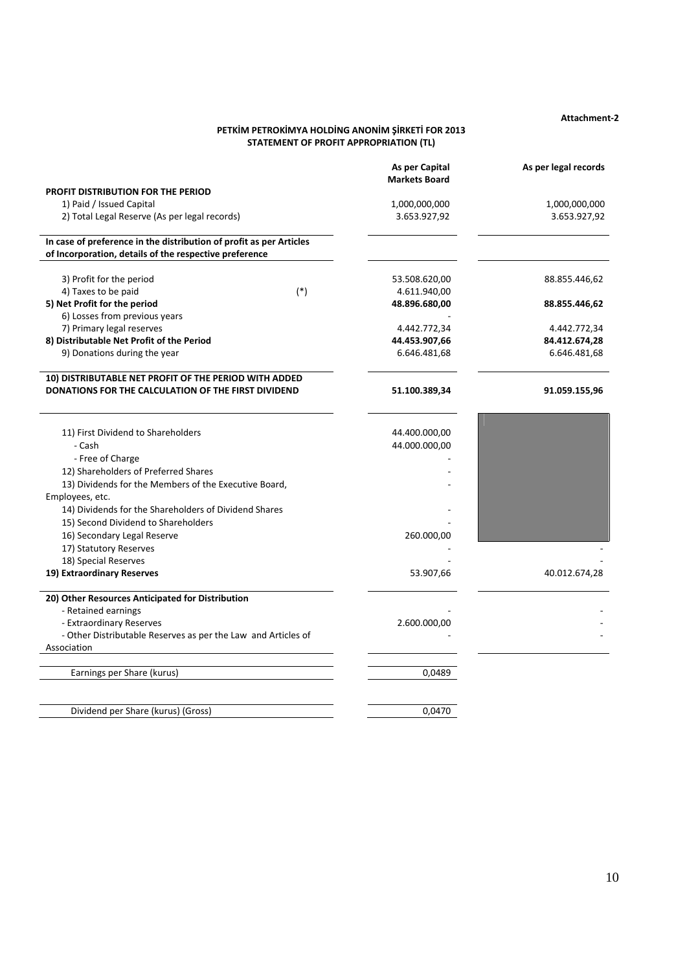**Attachment-2** 

# **PETKİM PETROKİMYA HOLDİNG ANONİM ŞİRKETİ FOR 2013 STATEMENT OF PROFIT APPROPRIATION (TL)**

|                                                                                                                               | As per Capital<br><b>Markets Board</b> | As per legal records |
|-------------------------------------------------------------------------------------------------------------------------------|----------------------------------------|----------------------|
| <b>PROFIT DISTRIBUTION FOR THE PERIOD</b>                                                                                     |                                        |                      |
| 1) Paid / Issued Capital                                                                                                      | 1,000,000,000                          | 1,000,000,000        |
| 2) Total Legal Reserve (As per legal records)                                                                                 | 3.653.927,92                           | 3.653.927,92         |
|                                                                                                                               |                                        |                      |
| In case of preference in the distribution of profit as per Articles<br>of Incorporation, details of the respective preference |                                        |                      |
|                                                                                                                               |                                        |                      |
| 3) Profit for the period                                                                                                      | 53.508.620,00                          | 88.855.446,62        |
| $(*)$<br>4) Taxes to be paid                                                                                                  | 4.611.940,00                           |                      |
| 5) Net Profit for the period                                                                                                  | 48.896.680,00                          | 88.855.446,62        |
| 6) Losses from previous years                                                                                                 |                                        |                      |
| 7) Primary legal reserves                                                                                                     | 4.442.772,34                           | 4.442.772,34         |
| 8) Distributable Net Profit of the Period                                                                                     | 44.453.907,66                          | 84.412.674,28        |
| 9) Donations during the year                                                                                                  | 6.646.481,68                           | 6.646.481,68         |
| 10) DISTRIBUTABLE NET PROFIT OF THE PERIOD WITH ADDED                                                                         |                                        |                      |
| DONATIONS FOR THE CALCULATION OF THE FIRST DIVIDEND                                                                           | 51.100.389,34                          | 91.059.155,96        |
|                                                                                                                               |                                        |                      |
| 11) First Dividend to Shareholders                                                                                            | 44.400.000,00                          |                      |
| - Cash                                                                                                                        | 44.000.000,00                          |                      |
| - Free of Charge                                                                                                              |                                        |                      |
| 12) Shareholders of Preferred Shares                                                                                          |                                        |                      |
| 13) Dividends for the Members of the Executive Board,                                                                         |                                        |                      |
| Employees, etc.                                                                                                               |                                        |                      |
| 14) Dividends for the Shareholders of Dividend Shares                                                                         |                                        |                      |
| 15) Second Dividend to Shareholders                                                                                           |                                        |                      |
| 16) Secondary Legal Reserve                                                                                                   | 260.000,00                             |                      |
| 17) Statutory Reserves                                                                                                        |                                        |                      |
| 18) Special Reserves                                                                                                          |                                        |                      |
| 19) Extraordinary Reserves                                                                                                    | 53.907,66                              | 40.012.674,28        |
| 20) Other Resources Anticipated for Distribution                                                                              |                                        |                      |
| - Retained earnings                                                                                                           |                                        |                      |
| - Extraordinary Reserves                                                                                                      | 2.600.000,00                           |                      |
| - Other Distributable Reserves as per the Law and Articles of                                                                 |                                        |                      |
| Association                                                                                                                   |                                        |                      |
| Earnings per Share (kurus)                                                                                                    | 0,0489                                 |                      |
|                                                                                                                               |                                        |                      |
| Dividend per Share (kurus) (Gross)                                                                                            | 0.0470                                 |                      |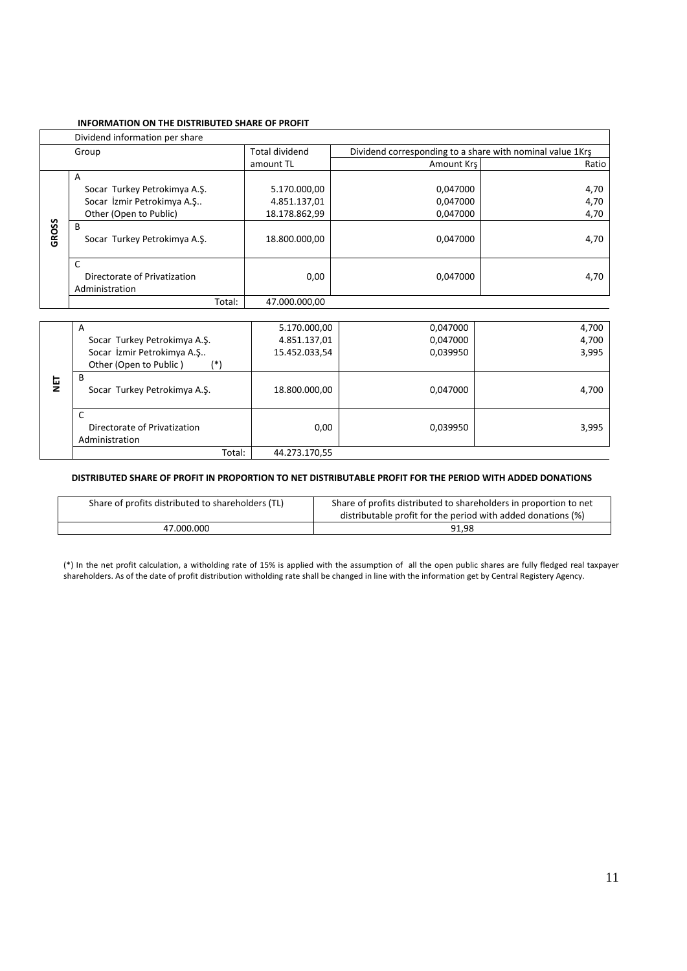# **INFORMATION ON THE DISTRIBUTED SHARE OF PROFIT**

|       | Dividend information per share                      |                       |                                                           |       |
|-------|-----------------------------------------------------|-----------------------|-----------------------------------------------------------|-------|
|       | Group                                               | <b>Total dividend</b> | Dividend corresponding to a share with nominal value 1Krs |       |
|       |                                                     | amount TL             | Amount Krs                                                | Ratio |
|       | A                                                   |                       |                                                           |       |
|       | Socar Turkey Petrokimya A.Ş.                        | 5.170.000,00          | 0,047000                                                  | 4,70  |
|       | Socar İzmir Petrokimya A.Ş                          | 4.851.137,01          | 0,047000                                                  | 4,70  |
|       | Other (Open to Public)                              | 18.178.862,99         | 0.047000                                                  | 4,70  |
| GROSS | B<br>Socar Turkey Petrokimya A.S.                   | 18.800.000.00         | 0.047000                                                  | 4,70  |
|       | C<br>Directorate of Privatization<br>Administration | 0,00                  | 0.047000                                                  | 4,70  |
|       | Total:                                              | 47.000.000.00         |                                                           |       |

|     | A                                                   | 5.170.000,00  | 0,047000 | 4,700 |
|-----|-----------------------------------------------------|---------------|----------|-------|
|     | Socar Turkey Petrokimya A.Ş.                        | 4.851.137,01  | 0,047000 | 4,700 |
|     | Socar İzmir Petrokimya A.Ş                          | 15.452.033,54 | 0,039950 | 3,995 |
|     | Other (Open to Public)<br>$(*)$                     |               |          |       |
| うとう | B<br>Socar Turkey Petrokimya A.Ş.                   | 18.800.000,00 | 0,047000 | 4,700 |
|     | C<br>Directorate of Privatization<br>Administration | 0,00          | 0,039950 | 3,995 |
|     | Total:                                              | 44.273.170,55 |          |       |

# **DISTRIBUTED SHARE OF PROFIT IN PROPORTION TO NET DISTRIBUTABLE PROFIT FOR THE PERIOD WITH ADDED DONATIONS**

| Share of profits distributed to shareholders (TL) | Share of profits distributed to shareholders in proportion to net<br>distributable profit for the period with added donations (%) |
|---------------------------------------------------|-----------------------------------------------------------------------------------------------------------------------------------|
| 47.000.000                                        | 91.98                                                                                                                             |

(\*) In the net profit calculation, a witholding rate of 15% is applied with the assumption of all the open public shares are fully fledged real taxpayer shareholders. As of the date of profit distribution witholding rate shall be changed in line with the information get by Central Registery Agency.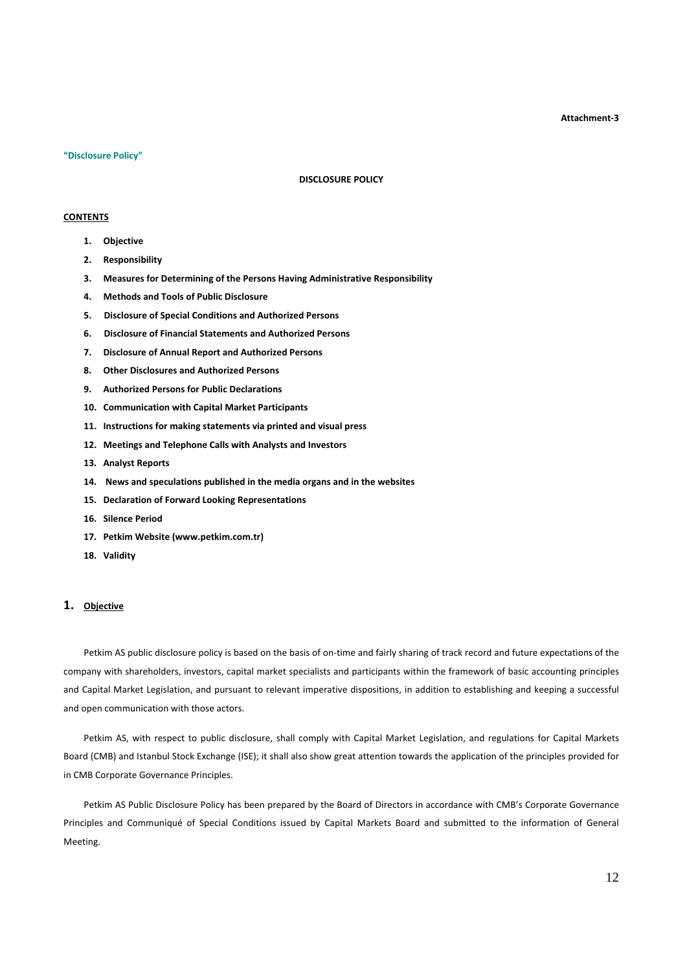**Attachment-3** 

#### **"Disclosure Policy"**

#### **DISCLOSURE POLICY**

### **CONTENTS**

- **1. Objective**
- **2. Responsibility**
- **3. Measures for Determining of the Persons Having Administrative Responsibility**
- **4. Methods and Tools of Public Disclosure**
- **5. Disclosure of Special Conditions and Authorized Persons**
- **6. Disclosure of Financial Statements and Authorized Persons**
- **7. Disclosure of Annual Report and Authorized Persons**
- **8. Other Disclosures and Authorized Persons**
- **9. Authorized Persons for Public Declarations**
- **10. Communication with Capital Market Participants**
- **11. Instructions for making statements via printed and visual press**
- **12. Meetings and Telephone Calls with Analysts and Investors**
- **13. Analyst Reports**
- **14. News and speculations published in the media organs and in the websites**
- **15. Declaration of Forward Looking Representations**
- **16. Silence Period**
- **17. Petkim Website (www.petkim.com.tr)**
- **18. Validity**

# **1. Objective**

Petkim AS public disclosure policy is based on the basis of on-time and fairly sharing of track record and future expectations of the company with shareholders, investors, capital market specialists and participants within the framework of basic accounting principles and Capital Market Legislation, and pursuant to relevant imperative dispositions, in addition to establishing and keeping a successful and open communication with those actors.

Petkim AS, with respect to public disclosure, shall comply with Capital Market Legislation, and regulations for Capital Markets Board (CMB) and Istanbul Stock Exchange (ISE); it shall also show great attention towards the application of the principles provided for in CMB Corporate Governance Principles.

Petkim AS Public Disclosure Policy has been prepared by the Board of Directors in accordance with CMB's Corporate Governance Principles and Communiqué of Special Conditions issued by Capital Markets Board and submitted to the information of General Meeting.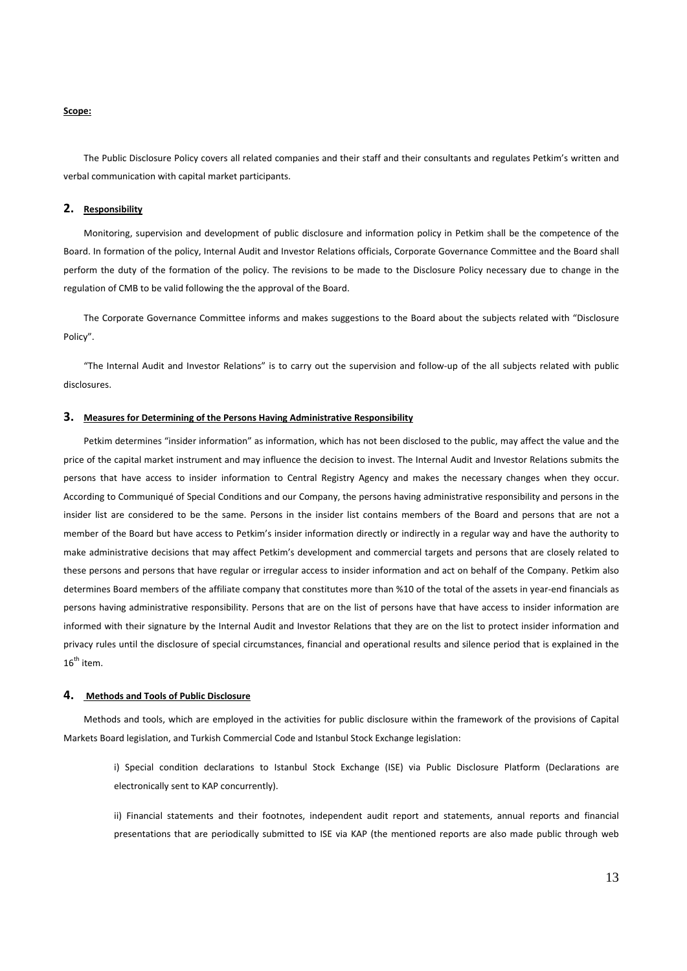### **Scope:**

The Public Disclosure Policy covers all related companies and their staff and their consultants and regulates Petkim's written and verbal communication with capital market participants.

### **2. Responsibility**

Monitoring, supervision and development of public disclosure and information policy in Petkim shall be the competence of the Board. In formation of the policy, Internal Audit and Investor Relations officials, Corporate Governance Committee and the Board shall perform the duty of the formation of the policy. The revisions to be made to the Disclosure Policy necessary due to change in the regulation of CMB to be valid following the the approval of the Board.

The Corporate Governance Committee informs and makes suggestions to the Board about the subjects related with "Disclosure Policy".

"The Internal Audit and Investor Relations" is to carry out the supervision and follow-up of the all subjects related with public disclosures.

#### **3. Measures for Determining of the Persons Having Administrative Responsibility**

Petkim determines "insider information" as information, which has not been disclosed to the public, may affect the value and the price of the capital market instrument and may influence the decision to invest. The Internal Audit and Investor Relations submits the persons that have access to insider information to Central Registry Agency and makes the necessary changes when they occur. According to Communiqué of Special Conditions and our Company, the persons having administrative responsibility and persons in the insider list are considered to be the same. Persons in the insider list contains members of the Board and persons that are not a member of the Board but have access to Petkim's insider information directly or indirectly in a regular way and have the authority to make administrative decisions that may affect Petkim's development and commercial targets and persons that are closely related to these persons and persons that have regular or irregular access to insider information and act on behalf of the Company. Petkim also determines Board members of the affiliate company that constitutes more than %10 of the total of the assets in year-end financials as persons having administrative responsibility. Persons that are on the list of persons have that have access to insider information are informed with their signature by the Internal Audit and Investor Relations that they are on the list to protect insider information and privacy rules until the disclosure of special circumstances, financial and operational results and silence period that is explained in the  $16<sup>th</sup>$  item.

#### **4. Methods and Tools of Public Disclosure**

Methods and tools, which are employed in the activities for public disclosure within the framework of the provisions of Capital Markets Board legislation, and Turkish Commercial Code and Istanbul Stock Exchange legislation:

i) Special condition declarations to Istanbul Stock Exchange (ISE) via Public Disclosure Platform (Declarations are electronically sent to KAP concurrently).

ii) Financial statements and their footnotes, independent audit report and statements, annual reports and financial presentations that are periodically submitted to ISE via KAP (the mentioned reports are also made public through web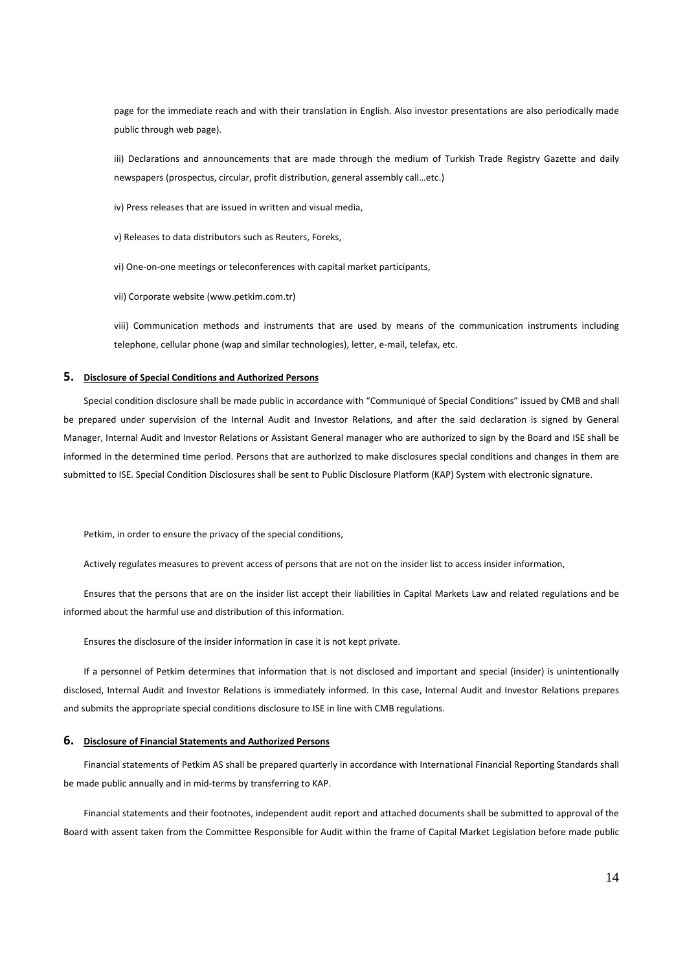page for the immediate reach and with their translation in English. Also investor presentations are also periodically made public through web page).

iii) Declarations and announcements that are made through the medium of Turkish Trade Registry Gazette and daily newspapers (prospectus, circular, profit distribution, general assembly call…etc.)

iv) Press releases that are issued in written and visual media,

v) Releases to data distributors such as Reuters, Foreks,

vi) One-on-one meetings or teleconferences with capital market participants,

vii) Corporate website (www.petkim.com.tr)

viii) Communication methods and instruments that are used by means of the communication instruments including telephone, cellular phone (wap and similar technologies), letter, e-mail, telefax, etc.

### **5. Disclosure of Special Conditions and Authorized Persons**

Special condition disclosure shall be made public in accordance with "Communiqué of Special Conditions" issued by CMB and shall be prepared under supervision of the Internal Audit and Investor Relations, and after the said declaration is signed by General Manager, Internal Audit and Investor Relations or Assistant General manager who are authorized to sign by the Board and ISE shall be informed in the determined time period. Persons that are authorized to make disclosures special conditions and changes in them are submitted to ISE. Special Condition Disclosures shall be sent to Public Disclosure Platform (KAP) System with electronic signature.

Petkim, in order to ensure the privacy of the special conditions,

Actively regulates measures to prevent access of persons that are not on the insider list to access insider information,

Ensures that the persons that are on the insider list accept their liabilities in Capital Markets Law and related regulations and be informed about the harmful use and distribution of this information.

Ensures the disclosure of the insider information in case it is not kept private.

If a personnel of Petkim determines that information that is not disclosed and important and special (insider) is unintentionally disclosed, Internal Audit and Investor Relations is immediately informed. In this case, Internal Audit and Investor Relations prepares and submits the appropriate special conditions disclosure to ISE in line with CMB regulations.

### **6. Disclosure of Financial Statements and Authorized Persons**

Financial statements of Petkim AS shall be prepared quarterly in accordance with International Financial Reporting Standards shall be made public annually and in mid-terms by transferring to KAP.

Financial statements and their footnotes, independent audit report and attached documents shall be submitted to approval of the Board with assent taken from the Committee Responsible for Audit within the frame of Capital Market Legislation before made public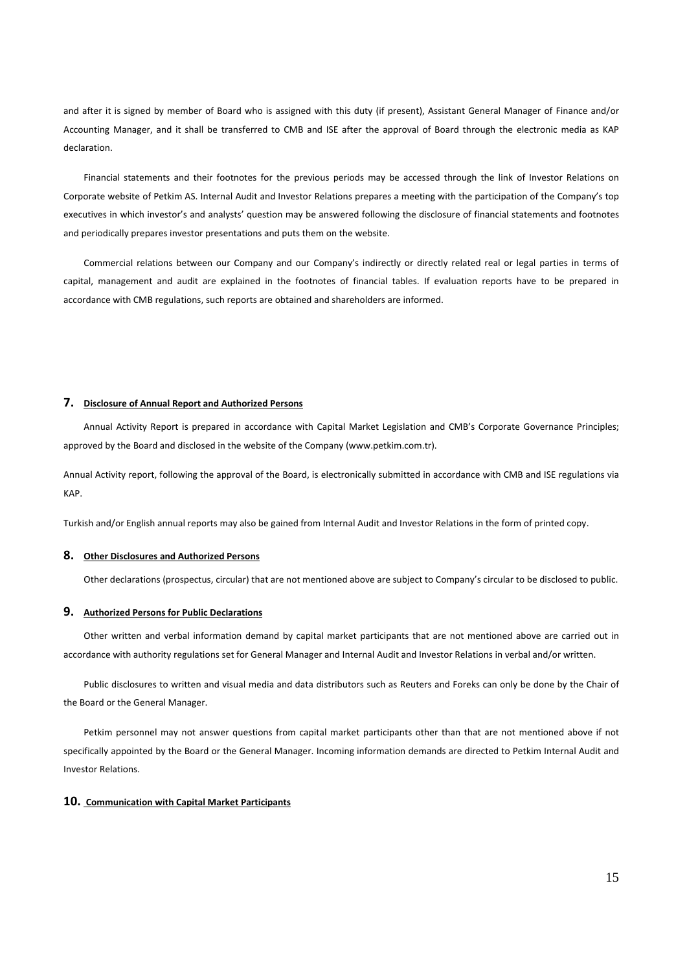and after it is signed by member of Board who is assigned with this duty (if present), Assistant General Manager of Finance and/or Accounting Manager, and it shall be transferred to CMB and ISE after the approval of Board through the electronic media as KAP declaration.

Financial statements and their footnotes for the previous periods may be accessed through the link of Investor Relations on Corporate website of Petkim AS. Internal Audit and Investor Relations prepares a meeting with the participation of the Company's top executives in which investor's and analysts' question may be answered following the disclosure of financial statements and footnotes and periodically prepares investor presentations and puts them on the website.

Commercial relations between our Company and our Company's indirectly or directly related real or legal parties in terms of capital, management and audit are explained in the footnotes of financial tables. If evaluation reports have to be prepared in accordance with CMB regulations, such reports are obtained and shareholders are informed.

#### **7. Disclosure of Annual Report and Authorized Persons**

Annual Activity Report is prepared in accordance with Capital Market Legislation and CMB's Corporate Governance Principles; approved by the Board and disclosed in the website of the Company (www.petkim.com.tr).

Annual Activity report, following the approval of the Board, is electronically submitted in accordance with CMB and ISE regulations via KAP.

Turkish and/or English annual reports may also be gained from Internal Audit and Investor Relations in the form of printed copy.

#### **8. Other Disclosures and Authorized Persons**

Other declarations (prospectus, circular) that are not mentioned above are subject to Company's circular to be disclosed to public.

### **9. Authorized Persons for Public Declarations**

Other written and verbal information demand by capital market participants that are not mentioned above are carried out in accordance with authority regulations set for General Manager and Internal Audit and Investor Relations in verbal and/or written.

Public disclosures to written and visual media and data distributors such as Reuters and Foreks can only be done by the Chair of the Board or the General Manager.

Petkim personnel may not answer questions from capital market participants other than that are not mentioned above if not specifically appointed by the Board or the General Manager. Incoming information demands are directed to Petkim Internal Audit and Investor Relations.

#### **10. Communication with Capital Market Participants**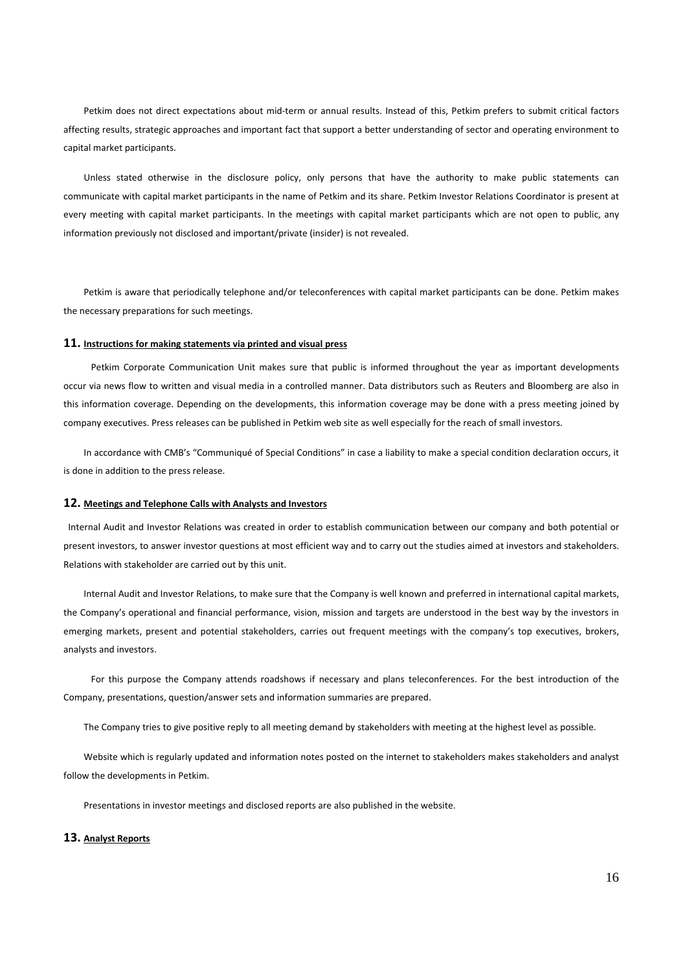Petkim does not direct expectations about mid-term or annual results. Instead of this, Petkim prefers to submit critical factors affecting results, strategic approaches and important fact that support a better understanding of sector and operating environment to capital market participants.

Unless stated otherwise in the disclosure policy, only persons that have the authority to make public statements can communicate with capital market participants in the name of Petkim and its share. Petkim Investor Relations Coordinator is present at every meeting with capital market participants. In the meetings with capital market participants which are not open to public, any information previously not disclosed and important/private (insider) is not revealed.

Petkim is aware that periodically telephone and/or teleconferences with capital market participants can be done. Petkim makes the necessary preparations for such meetings.

# **11. Instructions for making statements via printed and visual press**

 Petkim Corporate Communication Unit makes sure that public is informed throughout the year as important developments occur via news flow to written and visual media in a controlled manner. Data distributors such as Reuters and Bloomberg are also in this information coverage. Depending on the developments, this information coverage may be done with a press meeting joined by company executives. Press releases can be published in Petkim web site as well especially for the reach of small investors.

In accordance with CMB's "Communiqué of Special Conditions" in case a liability to make a special condition declaration occurs, it is done in addition to the press release.

#### **12. Meetings and Telephone Calls with Analysts and Investors**

 Internal Audit and Investor Relations was created in order to establish communication between our company and both potential or present investors, to answer investor questions at most efficient way and to carry out the studies aimed at investors and stakeholders. Relations with stakeholder are carried out by this unit.

Internal Audit and Investor Relations, to make sure that the Company is well known and preferred in international capital markets, the Company's operational and financial performance, vision, mission and targets are understood in the best way by the investors in emerging markets, present and potential stakeholders, carries out frequent meetings with the company's top executives, brokers, analysts and investors.

 For this purpose the Company attends roadshows if necessary and plans teleconferences. For the best introduction of the Company, presentations, question/answer sets and information summaries are prepared.

The Company tries to give positive reply to all meeting demand by stakeholders with meeting at the highest level as possible.

Website which is regularly updated and information notes posted on the internet to stakeholders makes stakeholders and analyst follow the developments in Petkim.

Presentations in investor meetings and disclosed reports are also published in the website.

# **13. Analyst Reports**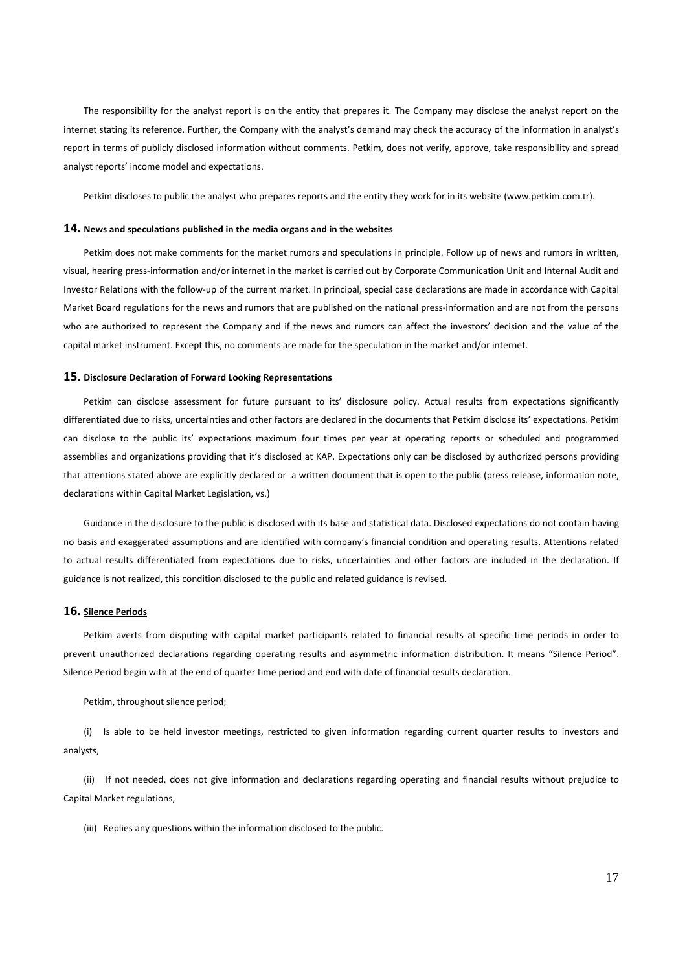The responsibility for the analyst report is on the entity that prepares it. The Company may disclose the analyst report on the internet stating its reference. Further, the Company with the analyst's demand may check the accuracy of the information in analyst's report in terms of publicly disclosed information without comments. Petkim, does not verify, approve, take responsibility and spread analyst reports' income model and expectations.

Petkim discloses to public the analyst who prepares reports and the entity they work for in its website (www.petkim.com.tr).

#### **14. News and speculations published in the media organs and in the websites**

Petkim does not make comments for the market rumors and speculations in principle. Follow up of news and rumors in written, visual, hearing press-information and/or internet in the market is carried out by Corporate Communication Unit and Internal Audit and Investor Relations with the follow-up of the current market. In principal, special case declarations are made in accordance with Capital Market Board regulations for the news and rumors that are published on the national press-information and are not from the persons who are authorized to represent the Company and if the news and rumors can affect the investors' decision and the value of the capital market instrument. Except this, no comments are made for the speculation in the market and/or internet.

#### **15. Disclosure Declaration of Forward Looking Representations**

Petkim can disclose assessment for future pursuant to its' disclosure policy. Actual results from expectations significantly differentiated due to risks, uncertainties and other factors are declared in the documents that Petkim disclose its' expectations. Petkim can disclose to the public its' expectations maximum four times per year at operating reports or scheduled and programmed assemblies and organizations providing that it's disclosed at KAP. Expectations only can be disclosed by authorized persons providing that attentions stated above are explicitly declared or a written document that is open to the public (press release, information note, declarations within Capital Market Legislation, vs.)

Guidance in the disclosure to the public is disclosed with its base and statistical data. Disclosed expectations do not contain having no basis and exaggerated assumptions and are identified with company's financial condition and operating results. Attentions related to actual results differentiated from expectations due to risks, uncertainties and other factors are included in the declaration. If guidance is not realized, this condition disclosed to the public and related guidance is revised.

# **16. Silence Periods**

Petkim averts from disputing with capital market participants related to financial results at specific time periods in order to prevent unauthorized declarations regarding operating results and asymmetric information distribution. It means "Silence Period". Silence Period begin with at the end of quarter time period and end with date of financial results declaration.

Petkim, throughout silence period;

(i) Is able to be held investor meetings, restricted to given information regarding current quarter results to investors and analysts,

(ii) If not needed, does not give information and declarations regarding operating and financial results without prejudice to Capital Market regulations,

(iii) Replies any questions within the information disclosed to the public.